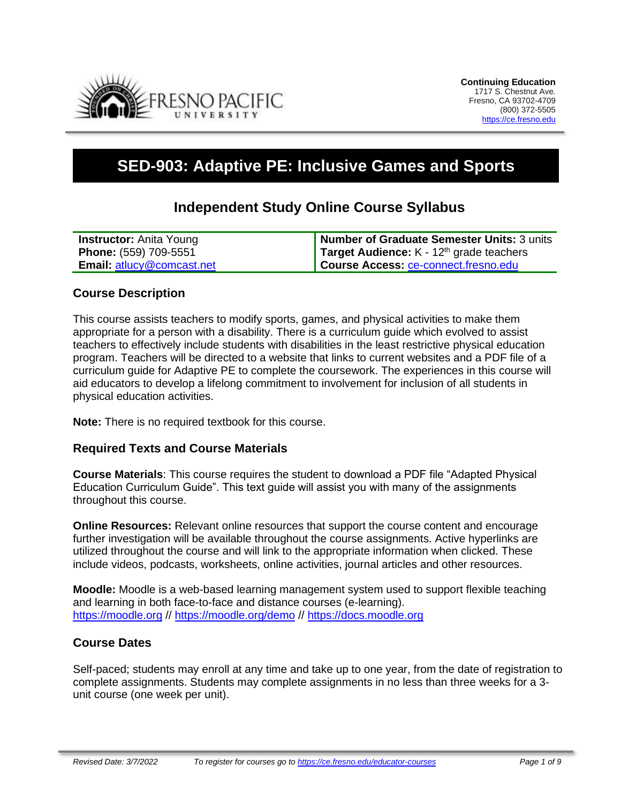

# **SED-903: Adaptive PE: Inclusive Games and Sports**

## **Independent Study Online Course Syllabus**

| <b>Instructor:</b> Anita Young   | Number of Graduate Semester Units: 3 units        |
|----------------------------------|---------------------------------------------------|
| Phone: (559) 709-5551            | <b>Target Audience:</b> $K - 12th$ grade teachers |
| <b>Email: atlucy@comcast.net</b> | Course Access: ce-connect.fresno.edu              |

#### **Course Description**

This course assists teachers to modify sports, games, and physical activities to make them appropriate for a person with a disability. There is a curriculum guide which evolved to assist teachers to effectively include students with disabilities in the least restrictive physical education program. Teachers will be directed to a website that links to current websites and a PDF file of a curriculum guide for Adaptive PE to complete the coursework. The experiences in this course will aid educators to develop a lifelong commitment to involvement for inclusion of all students in physical education activities.

**Note:** There is no required textbook for this course.

#### **Required Texts and Course Materials**

**Course Materials**: This course requires the student to download a PDF file "Adapted Physical Education Curriculum Guide". This text guide will assist you with many of the assignments throughout this course.

**Online Resources:** Relevant online resources that support the course content and encourage further investigation will be available throughout the course assignments. Active hyperlinks are utilized throughout the course and will link to the appropriate information when clicked. These include videos, podcasts, worksheets, online activities, journal articles and other resources.

**Moodle:** Moodle is a web-based learning management system used to support flexible teaching and learning in both face-to-face and distance courses (e-learning). [https://moodle.org](https://moodle.org/) //<https://moodle.org/demo> // [https://docs.moodle.org](https://docs.moodle.org/)

#### **Course Dates**

Self-paced; students may enroll at any time and take up to one year, from the date of registration to complete assignments. Students may complete assignments in no less than three weeks for a 3 unit course (one week per unit).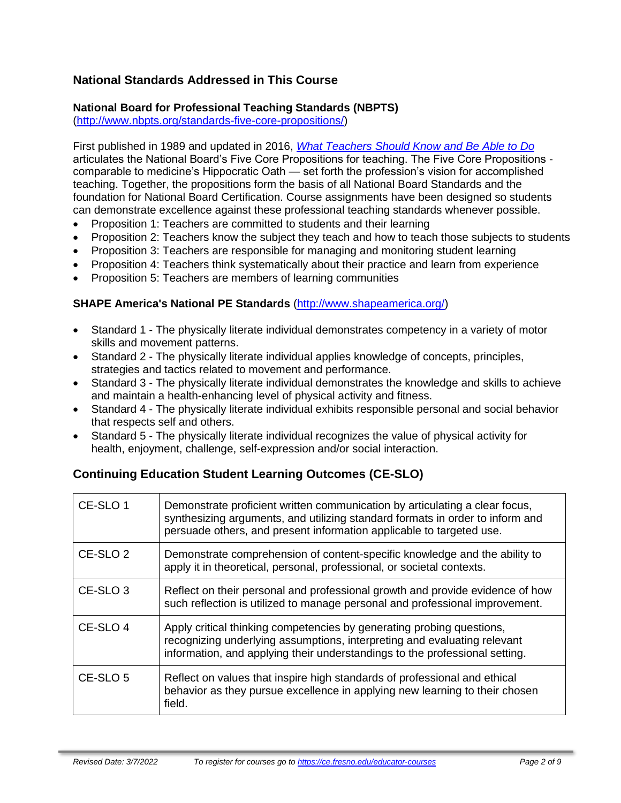## **National Standards Addressed in This Course**

#### **National Board for Professional Teaching Standards (NBPTS)**

[\(http://www.nbpts.org/standards-five-core-propositions/\)](http://www.nbpts.org/standards-five-core-propositions/)

First published in 1989 and updated in 2016, *[What Teachers Should Know and Be Able to Do](http://www.accomplishedteacher.org/)* articulates the National Board's Five Core Propositions for teaching. The Five Core Propositions comparable to medicine's Hippocratic Oath — set forth the profession's vision for accomplished teaching. Together, the propositions form the basis of all National Board Standards and the foundation for National Board Certification. Course assignments have been designed so students can demonstrate excellence against these professional teaching standards whenever possible.

- Proposition 1: Teachers are committed to students and their learning
- Proposition 2: Teachers know the subject they teach and how to teach those subjects to students
- Proposition 3: Teachers are responsible for managing and monitoring student learning
- Proposition 4: Teachers think systematically about their practice and learn from experience
- Proposition 5: Teachers are members of learning communities

#### **SHAPE America's National PE Standards** [\(http://www.shapeamerica.org/\)](http://www.shapeamerica.org/)

- Standard 1 The physically literate individual demonstrates competency in a variety of motor skills and movement patterns.
- Standard 2 The physically literate individual applies knowledge of concepts, principles, strategies and tactics related to movement and performance.
- Standard 3 The physically literate individual demonstrates the knowledge and skills to achieve and maintain a health-enhancing level of physical activity and fitness.
- Standard 4 The physically literate individual exhibits responsible personal and social behavior that respects self and others.
- Standard 5 The physically literate individual recognizes the value of physical activity for health, enjoyment, challenge, self-expression and/or social interaction.

## **Continuing Education Student Learning Outcomes (CE-SLO)**

| CE-SLO 1            | Demonstrate proficient written communication by articulating a clear focus,<br>synthesizing arguments, and utilizing standard formats in order to inform and<br>persuade others, and present information applicable to targeted use. |
|---------------------|--------------------------------------------------------------------------------------------------------------------------------------------------------------------------------------------------------------------------------------|
| CE-SLO <sub>2</sub> | Demonstrate comprehension of content-specific knowledge and the ability to<br>apply it in theoretical, personal, professional, or societal contexts.                                                                                 |
| CE-SLO <sub>3</sub> | Reflect on their personal and professional growth and provide evidence of how<br>such reflection is utilized to manage personal and professional improvement.                                                                        |
| CE-SLO 4            | Apply critical thinking competencies by generating probing questions,<br>recognizing underlying assumptions, interpreting and evaluating relevant<br>information, and applying their understandings to the professional setting.     |
| CE-SLO 5            | Reflect on values that inspire high standards of professional and ethical<br>behavior as they pursue excellence in applying new learning to their chosen<br>field.                                                                   |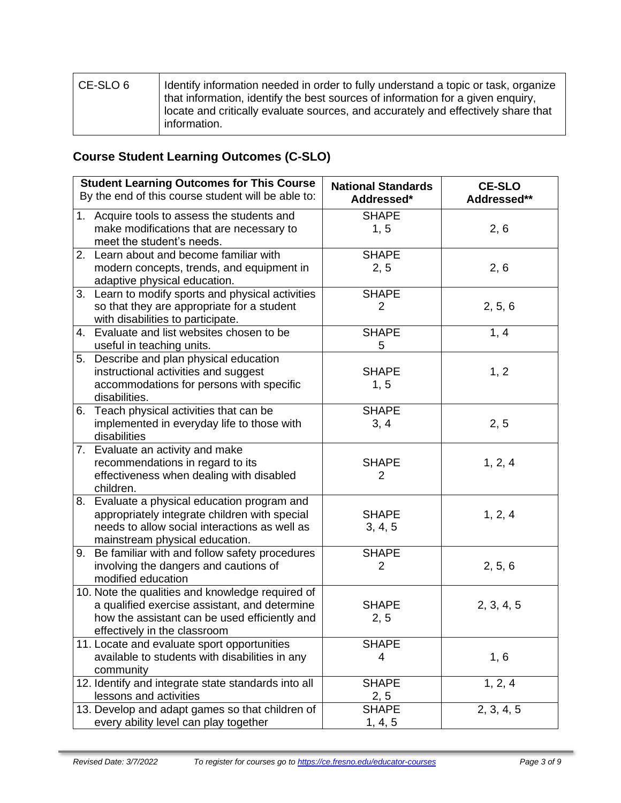| CE-SLO 6 | Identify information needed in order to fully understand a topic or task, organize<br>that information, identify the best sources of information for a given enguiry,<br>locate and critically evaluate sources, and accurately and effectively share that<br>information. |
|----------|----------------------------------------------------------------------------------------------------------------------------------------------------------------------------------------------------------------------------------------------------------------------------|
|----------|----------------------------------------------------------------------------------------------------------------------------------------------------------------------------------------------------------------------------------------------------------------------------|

## **Course Student Learning Outcomes (C-SLO)**

| <b>Student Learning Outcomes for This Course</b><br>By the end of this course student will be able to:                                                                             | <b>National Standards</b><br>Addressed* | <b>CE-SLO</b><br>Addressed** |
|------------------------------------------------------------------------------------------------------------------------------------------------------------------------------------|-----------------------------------------|------------------------------|
| 1. Acquire tools to assess the students and<br>make modifications that are necessary to<br>meet the student's needs.                                                               | <b>SHAPE</b><br>1, 5                    | 2, 6                         |
| 2. Learn about and become familiar with<br>modern concepts, trends, and equipment in<br>adaptive physical education.                                                               | <b>SHAPE</b><br>2, 5                    | 2, 6                         |
| 3. Learn to modify sports and physical activities<br>so that they are appropriate for a student<br>with disabilities to participate.                                               | <b>SHAPE</b><br>$\overline{2}$          | 2, 5, 6                      |
| 4. Evaluate and list websites chosen to be<br>useful in teaching units.                                                                                                            | <b>SHAPE</b><br>5                       | 1, 4                         |
| 5. Describe and plan physical education<br>instructional activities and suggest<br>accommodations for persons with specific<br>disabilities.                                       | <b>SHAPE</b><br>1, 5                    | 1, 2                         |
| 6. Teach physical activities that can be<br>implemented in everyday life to those with<br>disabilities                                                                             | <b>SHAPE</b><br>3, 4                    | 2, 5                         |
| 7. Evaluate an activity and make<br>recommendations in regard to its<br>effectiveness when dealing with disabled<br>children.                                                      | <b>SHAPE</b><br>2                       | 1, 2, 4                      |
| 8. Evaluate a physical education program and<br>appropriately integrate children with special<br>needs to allow social interactions as well as<br>mainstream physical education.   | <b>SHAPE</b><br>3, 4, 5                 | 1, 2, 4                      |
| 9. Be familiar with and follow safety procedures<br>involving the dangers and cautions of<br>modified education                                                                    | <b>SHAPE</b><br>2                       | 2, 5, 6                      |
| 10. Note the qualities and knowledge required of<br>a qualified exercise assistant, and determine<br>how the assistant can be used efficiently and<br>effectively in the classroom | <b>SHAPE</b><br>2, 5                    | 2, 3, 4, 5                   |
| 11. Locate and evaluate sport opportunities<br>available to students with disabilities in any<br>community                                                                         | <b>SHAPE</b><br>4                       | 1, 6                         |
| 12. Identify and integrate state standards into all<br>lessons and activities                                                                                                      | <b>SHAPE</b><br>2, 5                    | 1, 2, 4                      |
| 13. Develop and adapt games so that children of<br>every ability level can play together                                                                                           | <b>SHAPE</b><br>1, 4, 5                 | 2, 3, 4, 5                   |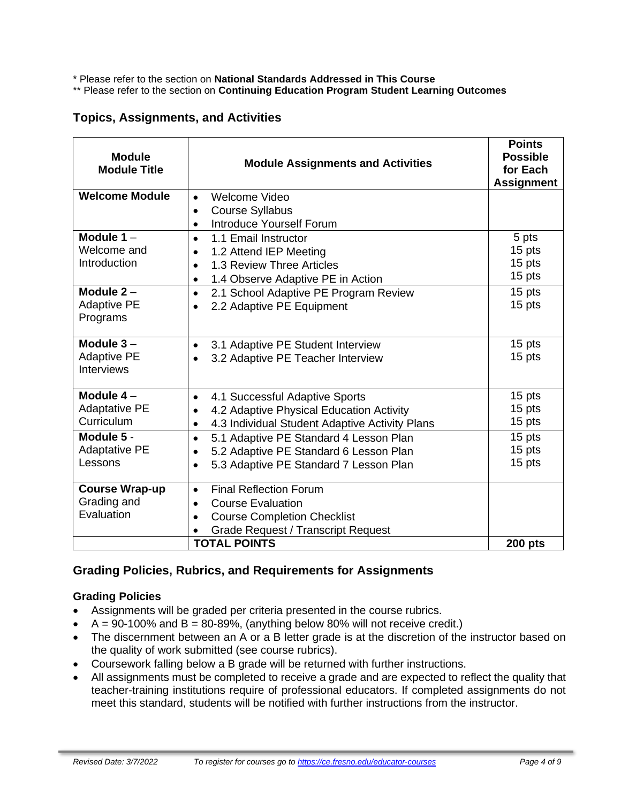\* Please refer to the section on **National Standards Addressed in This Course**

\*\* Please refer to the section on **Continuing Education Program Student Learning Outcomes**

#### **Topics, Assignments, and Activities**

| <b>Module</b><br><b>Module Title</b> | <b>Module Assignments and Activities</b>                                                     | <b>Points</b><br><b>Possible</b><br>for Each<br><b>Assignment</b> |
|--------------------------------------|----------------------------------------------------------------------------------------------|-------------------------------------------------------------------|
| <b>Welcome Module</b>                | Welcome Video<br>$\bullet$                                                                   |                                                                   |
|                                      | <b>Course Syllabus</b><br>$\bullet$                                                          |                                                                   |
|                                      | <b>Introduce Yourself Forum</b><br>$\bullet$                                                 |                                                                   |
| Module $1 -$<br>Welcome and          | 1.1 Email Instructor<br>$\bullet$                                                            | 5 pts                                                             |
| Introduction                         | 1.2 Attend IEP Meeting<br>$\bullet$                                                          | 15 pts<br>15 pts                                                  |
|                                      | 1.3 Review Three Articles<br>$\bullet$                                                       | 15 pts                                                            |
| Module $2 -$                         | 1.4 Observe Adaptive PE in Action<br>$\bullet$                                               | 15 pts                                                            |
| <b>Adaptive PE</b>                   | 2.1 School Adaptive PE Program Review<br>$\bullet$<br>2.2 Adaptive PE Equipment<br>$\bullet$ | 15 pts                                                            |
| Programs                             |                                                                                              |                                                                   |
|                                      |                                                                                              |                                                                   |
| Module $3 -$                         | 3.1 Adaptive PE Student Interview<br>$\bullet$                                               | 15 pts                                                            |
| <b>Adaptive PE</b>                   | 3.2 Adaptive PE Teacher Interview<br>$\bullet$                                               | 15 pts                                                            |
| <b>Interviews</b>                    |                                                                                              |                                                                   |
| Module $4-$                          | 4.1 Successful Adaptive Sports<br>$\bullet$                                                  | 15 pts                                                            |
| <b>Adaptative PE</b>                 | 4.2 Adaptive Physical Education Activity                                                     | 15 pts                                                            |
| Curriculum                           | 4.3 Individual Student Adaptive Activity Plans<br>$\bullet$                                  | 15 pts                                                            |
| Module 5 -                           | 5.1 Adaptive PE Standard 4 Lesson Plan<br>$\bullet$                                          | 15 pts                                                            |
| <b>Adaptative PE</b>                 | 5.2 Adaptive PE Standard 6 Lesson Plan<br>$\bullet$                                          | 15 pts                                                            |
| Lessons                              | 5.3 Adaptive PE Standard 7 Lesson Plan<br>$\bullet$                                          | 15 pts                                                            |
| <b>Course Wrap-up</b>                | <b>Final Reflection Forum</b><br>$\bullet$                                                   |                                                                   |
| Grading and                          | <b>Course Evaluation</b><br>$\bullet$                                                        |                                                                   |
| Evaluation                           | <b>Course Completion Checklist</b><br>$\bullet$                                              |                                                                   |
|                                      | <b>Grade Request / Transcript Request</b>                                                    |                                                                   |
|                                      | <b>TOTAL POINTS</b>                                                                          | <b>200 pts</b>                                                    |

#### **Grading Policies, Rubrics, and Requirements for Assignments**

#### **Grading Policies**

- Assignments will be graded per criteria presented in the course rubrics.
- $A = 90-100\%$  and  $B = 80-89\%$ , (anything below 80% will not receive credit.)
- The discernment between an A or a B letter grade is at the discretion of the instructor based on the quality of work submitted (see course rubrics).
- Coursework falling below a B grade will be returned with further instructions.
- All assignments must be completed to receive a grade and are expected to reflect the quality that teacher-training institutions require of professional educators. If completed assignments do not meet this standard, students will be notified with further instructions from the instructor.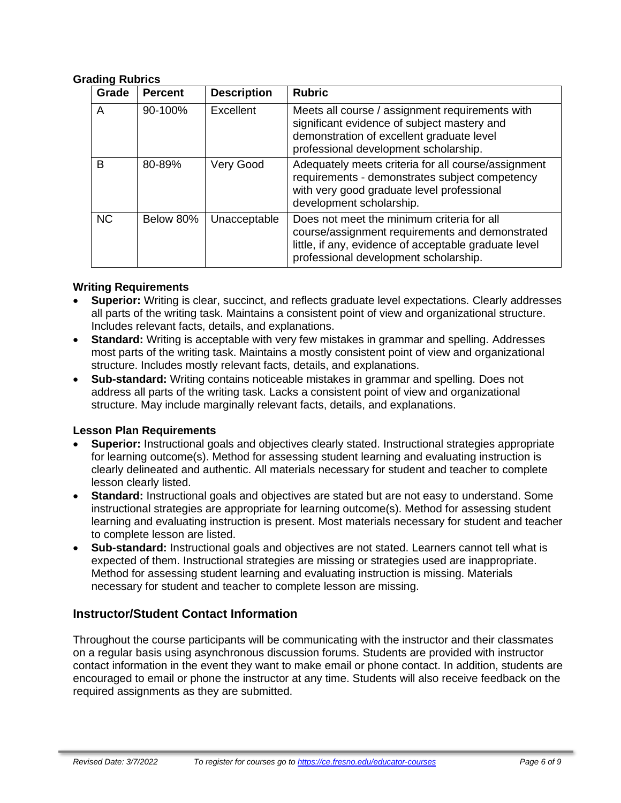#### **Grading Rubrics**

| Grade     | <b>Percent</b> | <b>Description</b> | <b>Rubric</b>                                                                                                                                                                                   |
|-----------|----------------|--------------------|-------------------------------------------------------------------------------------------------------------------------------------------------------------------------------------------------|
| A         | 90-100%        | Excellent          | Meets all course / assignment requirements with<br>significant evidence of subject mastery and<br>demonstration of excellent graduate level<br>professional development scholarship.            |
| B         | 80-89%         | Very Good          | Adequately meets criteria for all course/assignment<br>requirements - demonstrates subject competency<br>with very good graduate level professional<br>development scholarship.                 |
| <b>NC</b> | Below 80%      | Unacceptable       | Does not meet the minimum criteria for all<br>course/assignment requirements and demonstrated<br>little, if any, evidence of acceptable graduate level<br>professional development scholarship. |

#### **Writing Requirements**

- **Superior:** Writing is clear, succinct, and reflects graduate level expectations. Clearly addresses all parts of the writing task. Maintains a consistent point of view and organizational structure. Includes relevant facts, details, and explanations.
- **Standard:** Writing is acceptable with very few mistakes in grammar and spelling. Addresses most parts of the writing task. Maintains a mostly consistent point of view and organizational structure. Includes mostly relevant facts, details, and explanations.
- **Sub-standard:** Writing contains noticeable mistakes in grammar and spelling. Does not address all parts of the writing task. Lacks a consistent point of view and organizational structure. May include marginally relevant facts, details, and explanations.

#### **Lesson Plan Requirements**

- **Superior:** Instructional goals and objectives clearly stated. Instructional strategies appropriate for learning outcome(s). Method for assessing student learning and evaluating instruction is clearly delineated and authentic. All materials necessary for student and teacher to complete lesson clearly listed.
- **Standard:** Instructional goals and objectives are stated but are not easy to understand. Some instructional strategies are appropriate for learning outcome(s). Method for assessing student learning and evaluating instruction is present. Most materials necessary for student and teacher to complete lesson are listed.
- **Sub-standard:** Instructional goals and objectives are not stated. Learners cannot tell what is expected of them. Instructional strategies are missing or strategies used are inappropriate. Method for assessing student learning and evaluating instruction is missing. Materials necessary for student and teacher to complete lesson are missing.

#### **Instructor/Student Contact Information**

Throughout the course participants will be communicating with the instructor and their classmates on a regular basis using asynchronous discussion forums. Students are provided with instructor contact information in the event they want to make email or phone contact. In addition, students are encouraged to email or phone the instructor at any time. Students will also receive feedback on the required assignments as they are submitted.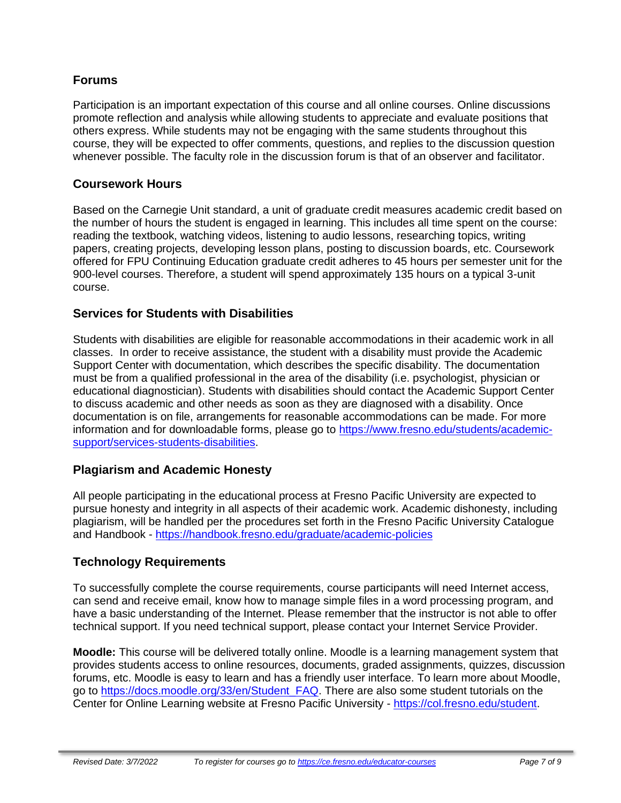#### **Forums**

Participation is an important expectation of this course and all online courses. Online discussions promote reflection and analysis while allowing students to appreciate and evaluate positions that others express. While students may not be engaging with the same students throughout this course, they will be expected to offer comments, questions, and replies to the discussion question whenever possible. The faculty role in the discussion forum is that of an observer and facilitator.

#### **Coursework Hours**

Based on the Carnegie Unit standard, a unit of graduate credit measures academic credit based on the number of hours the student is engaged in learning. This includes all time spent on the course: reading the textbook, watching videos, listening to audio lessons, researching topics, writing papers, creating projects, developing lesson plans, posting to discussion boards, etc. Coursework offered for FPU Continuing Education graduate credit adheres to 45 hours per semester unit for the 900-level courses. Therefore, a student will spend approximately 135 hours on a typical 3-unit course.

## **Services for Students with Disabilities**

Students with disabilities are eligible for reasonable accommodations in their academic work in all classes. In order to receive assistance, the student with a disability must provide the Academic Support Center with documentation, which describes the specific disability. The documentation must be from a qualified professional in the area of the disability (i.e. psychologist, physician or educational diagnostician). Students with disabilities should contact the Academic Support Center to discuss academic and other needs as soon as they are diagnosed with a disability. Once documentation is on file, arrangements for reasonable accommodations can be made. For more information and for downloadable forms, please go to [https://www.fresno.edu/students/academic](https://www.fresno.edu/students/academic-support/services-students-disabilities)[support/services-students-disabilities.](https://www.fresno.edu/students/academic-support/services-students-disabilities)

#### **Plagiarism and Academic Honesty**

All people participating in the educational process at Fresno Pacific University are expected to pursue honesty and integrity in all aspects of their academic work. Academic dishonesty, including plagiarism, will be handled per the procedures set forth in the Fresno Pacific University Catalogue and Handbook - <https://handbook.fresno.edu/graduate/academic-policies>

## **Technology Requirements**

To successfully complete the course requirements, course participants will need Internet access, can send and receive email, know how to manage simple files in a word processing program, and have a basic understanding of the Internet. Please remember that the instructor is not able to offer technical support. If you need technical support, please contact your Internet Service Provider.

**Moodle:** This course will be delivered totally online. Moodle is a learning management system that provides students access to online resources, documents, graded assignments, quizzes, discussion forums, etc. Moodle is easy to learn and has a friendly user interface. To learn more about Moodle, go to [https://docs.moodle.org/33/en/Student\\_FAQ.](https://docs.moodle.org/33/en/Student_FAQ) There are also some student tutorials on the Center for Online Learning website at Fresno Pacific University - [https://col.fresno.edu/student.](https://col.fresno.edu/student)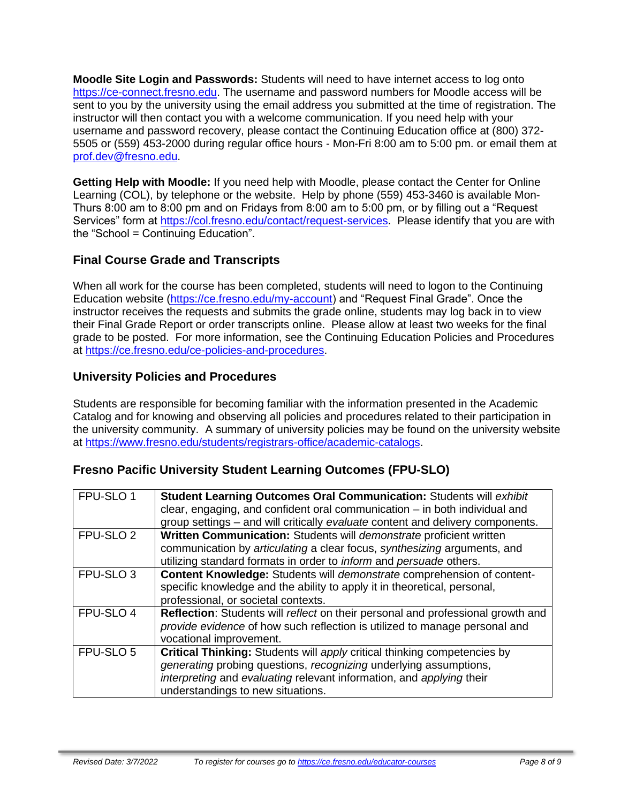**Moodle Site Login and Passwords:** Students will need to have internet access to log onto [https://ce-connect.fresno.edu.](https://ce-connect.fresno.edu/) The username and password numbers for Moodle access will be sent to you by the university using the email address you submitted at the time of registration. The instructor will then contact you with a welcome communication. If you need help with your username and password recovery, please contact the Continuing Education office at (800) 372- 5505 or (559) 453-2000 during regular office hours - Mon-Fri 8:00 am to 5:00 pm. or email them at [prof.dev@fresno.edu.](mailto:prof.dev@fresno.edu)

**Getting Help with Moodle:** If you need help with Moodle, please contact the Center for Online Learning (COL), by telephone or the website. Help by phone (559) 453-3460 is available Mon-Thurs 8:00 am to 8:00 pm and on Fridays from 8:00 am to 5:00 pm, or by filling out a "Request Services" form at [https://col.fresno.edu/contact/request-services.](https://col.fresno.edu/contact/request-services) Please identify that you are with the "School = Continuing Education".

## **Final Course Grade and Transcripts**

When all work for the course has been completed, students will need to logon to the Continuing Education website [\(https://ce.fresno.edu/my-account\)](https://ce.fresno.edu/my-account) and "Request Final Grade". Once the instructor receives the requests and submits the grade online, students may log back in to view their Final Grade Report or order transcripts online. Please allow at least two weeks for the final grade to be posted. For more information, see the Continuing Education Policies and Procedures at [https://ce.fresno.edu/ce-policies-and-procedures.](https://ce.fresno.edu/ce-policies-and-procedures)

## **University Policies and Procedures**

Students are responsible for becoming familiar with the information presented in the Academic Catalog and for knowing and observing all policies and procedures related to their participation in the university community. A summary of university policies may be found on the university website at [https://www.fresno.edu/students/registrars-office/academic-catalogs.](https://www.fresno.edu/students/registrars-office/academic-catalogs)

#### **Fresno Pacific University Student Learning Outcomes (FPU-SLO)**

| FPU-SLO 1            | Student Learning Outcomes Oral Communication: Students will exhibit             |
|----------------------|---------------------------------------------------------------------------------|
|                      | clear, engaging, and confident oral communication $-$ in both individual and    |
|                      | group settings - and will critically evaluate content and delivery components.  |
| FPU-SLO <sub>2</sub> | Written Communication: Students will demonstrate proficient written             |
|                      | communication by articulating a clear focus, synthesizing arguments, and        |
|                      | utilizing standard formats in order to inform and persuade others.              |
| FPU-SLO <sub>3</sub> | Content Knowledge: Students will demonstrate comprehension of content-          |
|                      | specific knowledge and the ability to apply it in theoretical, personal,        |
|                      | professional, or societal contexts.                                             |
| FPU-SLO 4            | Reflection: Students will reflect on their personal and professional growth and |
|                      | provide evidence of how such reflection is utilized to manage personal and      |
|                      | vocational improvement.                                                         |
| FPU-SLO 5            | <b>Critical Thinking:</b> Students will apply critical thinking competencies by |
|                      | generating probing questions, recognizing underlying assumptions,               |
|                      | interpreting and evaluating relevant information, and applying their            |
|                      | understandings to new situations.                                               |